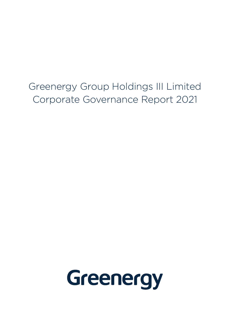Greenergy Group Holdings III Limited Corporate Governance Report 2021

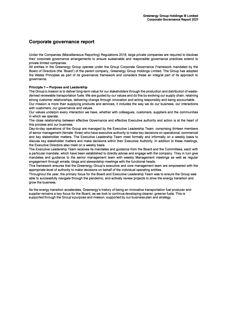## **Corporate governance report**

Under the Companies (Miscellaneous Reporting) Regulations 2018, large private companies are required to disclose their corporate governance arrangements to ensure sustainable and responsible governance practices extend to private limited companies.

All entities in the Greenergy Group operate under the Group Corporate Governance Framework mandated by the Board of Directors (the 'Board') of the parent company, Greenergy Group Holdings Limited. The Group has adopted the Wates Principles as part of its governance framework and considers these an integral part of its approach to governance.

### **Principle 1 - Purpose and Leadership**

The Group's mission is to deliver long-term value for our stakeholders through the production and distribution of wastederived renewable transportation fuels. We are guided by our values and do this by evolving our supply chain, retaining strong customer relationships, delivering change through innovation and acting responsibly and being accountable. Our mission is more than supplying products and services, it includes the way we do our business, our interactions

with customers, our governance and values. Our values underpin every interaction we have, whether with colleagues, customers, suppliers and the communities

in which we operate. The close relationship between effective Governance and effective Executive authority and action is at the heart of this process and our business.

Day-to-day operations of the Group are managed by the Executive Leadership Team, comprising thirteen members of senior management (female: three) who have executive authority to make key decisions on operational, commercial and key stakeholder matters. The Executive Leadership Team meet formally and informally on a weekly basis to discuss key stakeholder matters and make decisions within their Executive Authority. In addition to these meetings, the Executive Directors also meet on a weekly basis.

The Executive Leadership Team receives its mandates and guidance from the Board and the Committees, each with a particular mandate, which have been established to directly advise and engage with the company. They in turn give mandates and guidance to the senior management team with weekly Management meetings as well as regular engagement through emails, biogs and stewardship meetings with the functional heads.

This framework ensures that the Greenergy Group's executive and core management team are empowered with the appropriate level of authority to make decisions on behalf of the individual operating entities.

Throughout the year, the primary focus for the Board and Executive Leadership Team was to ensure the Group was able to successfully navigate through the pandemic, and actively review projects to drive the energy transition and grow the business.

As the energy transition accelerates, Greenergy's history of being an innovative transportation fuel producer and supplier remains a key focus for the Board, as we look to continue developing cleaner, greener fuels. This is supported through the Group's purpose and mission, supported by our business plan and strategy.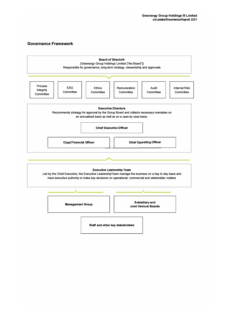### **Governance Framework**

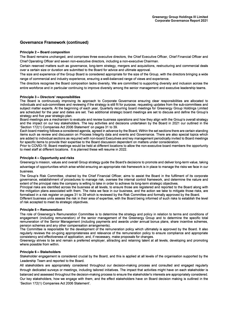### **Governance Framework (continued)**

### **Principle 2 - Board composition**

The Board remains unchanged, and comprises three executive directors, the Chief Executive Officer, Chief Financial Officer and Chief Operating Officer and seven non-executive directors, including a non-executive Chairman.

Certain reserved matters such as governance, long-term strategy, mergers and acquisitions, restructuring and commercial deals over a certain size or duration are submitted to the Board for advice and ultimate approval.

The size and experience of the Group Board is considered appropriate for the size of the Group, with the directors bringing a wide range of commercial and industry experience, ensuring a well-balanced range of views and experience.

The directors recognise the Board composition lacks diversity. We are committed to supporting diversity and inclusion across the entire workforce and in particular continuing to improve diversity among the senior management and executive leadership teams.

#### **Principle 3 - Directors' responsibilities**

The Board is continuously improving its approach to Corporate Governance ensuring clear responsibilities are allocated to individuals and sub-committees and reviewing if the strategy is still fit for purpose, requesting updates from the sub-committees and subject matter experts. At the beginning of each year, Quarterly recurring board meetings for Greenergy Group Holdings Limited are scheduled for the year and dates are set. Two additional strategic board meetings are set to discuss and define the Group's strategy and five year strategic plan.

Board meetings are a mechanism to evaluate and review business operations and how they align with the Group's overall strategy and the impact on our key stakeholders. The key activities and decisions undertaken by the Board in 2021 our outlined in the 'Section 172(1) Companies Act 2006 Statement' on pages 31 to 39.

Each board meeting follows a considered agenda, agreed in advance by the Board. Within the set sections there are certain standing items such as review and discussion on Process Integrity data and events and Governance. There are also special topics which are added to individual sections as required with non-board Executives and key management periodically invited to Board meetings for specific items to provide their expertise to the Board discussion dependent on matters under consideration.

Prior to COVID-19, Board meetings would be held at different locations to allow the non-executive board members the opportunity to meet staff at different locations. It is planned these will resume in 2022.

### **Principle 4 - Opportunity and risks**

Greenergy's mission, values and overall Group strategy guide the Board's decisions to promote and deliver long-term value, taking advantage of opportunities which arise whilst ensuring an appropriate risk framework is in place to manage the risks we face in our business.

The Group's Risk Committee, chaired by the Chief Financial Officer, aims to assist the Board in the fulfilment of its corporate governance, establishment of procedures to manage risk, oversee the internal control framework, and determine the nature and extent of the principal risks the company is willing to take in order to achieve its long-term strategic objectives.

Principal risks are identified across the business at all levels, to ensure those are registered and reported to the Board along with the mitigation plans associated with them. The risks we face in our business, and the action we take to mitigate those risks, are formalised in a risk register on pages 31 to 39 which is reviewed by the Risk Committee and formally approved by the Board.

Different business units assess the risk in their area of expertise, with the Board being informed of such risks to establish the level of risk accepted to meet its strategic objectives.

#### **Principle 5 - Remuneration**

The role of Greenergy's Remuneration Committee is to determine the strategy and policy in relation to terms and conditions of engagement (including remuneration) of the senior management of the Greenergy Group and to determine the specific total remuneration of the Senior Management (including payments and awards under annual bonus plans, share incentive schemes, pension schemes and any other compensation arrangements).

The Committee is responsible for the development of the remuneration policy which ultimately is approved by the Board. It also regularly reviews the on-going appropriateness and relevance of the remuneration policy to ensure compliance and appropriate consistency and effectiveness of application, and, if necessary, make proposals for changes.

Greenergy strives to be and remain a preferred employer, attracting and retaining talent at all levels, developing and promoting where possible from within.

#### **Principle 6 - Stakeholders**

Stakeholder engagement is considered crucial by the Board, and this is applied at all levels of the organisation supported by the Leadership Team and reported to the Board.

All stakeholders are appropriately considered throughout our decision-making process and consulted and engaged regularly through dedicated surveys or meetings, including tailored initiatives. The impact that activities might have on each stakeholder is balanced and assessed throughout the decision-making process to ensure the stakeholder's interests are appropriately considered. Our key stakeholders, how we engage with them, and the effect stakeholders have on Board decision making is outlined in the 'Section 172(1) Companies Act 2006 Statement'.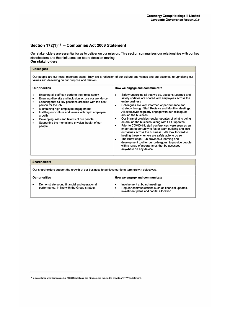# Section 172(1)<sup>12</sup> - Companies Act 2006 Statement

Our stakeholders are essential for us to deliver on our mission. This section summarises our relationships with our key stakeholders and their influence on board decision making. **Our stakeholders** 

### **Col leagues**

Our people are our most important asset. They are a reflection of our culture and values and are essential to upholding our values and delivering on our purpose and mission.

| <b>Our priorities</b>                                                                                                                                                                                                                                                                                                                                                                                                 | How we engage and communicate                                                                                                                                                                                                                                                                                                                                                                                                                                                                                                                                                                                                                                                                                                                                                                                                                    |
|-----------------------------------------------------------------------------------------------------------------------------------------------------------------------------------------------------------------------------------------------------------------------------------------------------------------------------------------------------------------------------------------------------------------------|--------------------------------------------------------------------------------------------------------------------------------------------------------------------------------------------------------------------------------------------------------------------------------------------------------------------------------------------------------------------------------------------------------------------------------------------------------------------------------------------------------------------------------------------------------------------------------------------------------------------------------------------------------------------------------------------------------------------------------------------------------------------------------------------------------------------------------------------------|
| Ensuring all staff can perform their roles safely<br>Ensuring diversity and inclusion across our workforce<br>Ensuring that all key positions are filled with the best<br>person for the job<br>Maintaining high employee engagement<br>Instilling our culture and values with rapid employee<br>arowth<br>Developing skills and talents of our people<br>Supporting the mental and physical health of our<br>people. | Safety underpins all that we do. Lessons Learned and<br>safety updates are shared with employees across the<br>entire business<br>Colleagues are kept informed of performance and<br>strategy through Staff Reviews and Monthly Meetings.<br>All executives regularly engage with our colleagues<br>around the business<br>Our Intranet provides regular updates of what is going<br>on around the business, along with CEO updates<br>Prior to COVID-19, staff conferences were seen as an<br>important opportunity to foster team building and instil<br>our values across the business. We look forward to<br>hosting these when we are safely able to do so<br>The Knowledge Hub provides a learning and<br>development tool for our colleagues, to provide people<br>with a range of programmes that be accessed<br>anywhere on any device. |
|                                                                                                                                                                                                                                                                                                                                                                                                                       |                                                                                                                                                                                                                                                                                                                                                                                                                                                                                                                                                                                                                                                                                                                                                                                                                                                  |

| <b>Shareholders</b>                                                                             |                                                                                              |                                                                                                                                     |  |
|-------------------------------------------------------------------------------------------------|----------------------------------------------------------------------------------------------|-------------------------------------------------------------------------------------------------------------------------------------|--|
| Our shareholders support the growth of our business to achieve our long-term growth objectives. |                                                                                              |                                                                                                                                     |  |
|                                                                                                 | Our priorities                                                                               | How we engage and communicate                                                                                                       |  |
|                                                                                                 | Demonstrate sound financial and operational<br>performance, in line with the Group strategy. | Involvement at board meetings<br>٠<br>Regular communications such as financial updates,<br>investment plans and capital allocation. |  |

<sup>&</sup>lt;sup>12</sup> In accordance with Companies Act 2006 Regulations, the Directors are required to provide a 'S172(1) statement'.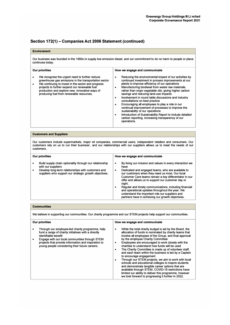| <b>Environment</b>                                                                                                                                                                                                                                                                                                                                              |                                                                                                                                                                                                                                                                                                                                                                                                                                                                                                                                                                                                                                                                                                                                                                                                 |
|-----------------------------------------------------------------------------------------------------------------------------------------------------------------------------------------------------------------------------------------------------------------------------------------------------------------------------------------------------------------|-------------------------------------------------------------------------------------------------------------------------------------------------------------------------------------------------------------------------------------------------------------------------------------------------------------------------------------------------------------------------------------------------------------------------------------------------------------------------------------------------------------------------------------------------------------------------------------------------------------------------------------------------------------------------------------------------------------------------------------------------------------------------------------------------|
| continues today.                                                                                                                                                                                                                                                                                                                                                | Our business was founded in the 1990s to supply low emission diesel, and our commitment to do no harm to people or place                                                                                                                                                                                                                                                                                                                                                                                                                                                                                                                                                                                                                                                                        |
| <b>Our priorities</b><br>We recognise the urgent need to further reduce<br>$\bullet$<br>greenhouse gas emissions in the transportation sector<br>We continuing to invest in the sector and progress<br>$\bullet$<br>projects to further expand our renewable fuel<br>production and explore new, innovative ways of<br>producing fuel from renewable resources. | How we engage and communicate<br>Reducing the environmental impact of our activities by<br>$\bullet$<br>continued investment in process improvements at our<br>plants to improve efficiency of our operations<br>Manufacturing biodiesel from waste raw materials,<br>$\bullet$<br>rather than virgin vegetable oils, giving higher carbon<br>savings and reducing land-use impacts<br>Involvement in round table discussions and industry<br>$\bullet$<br>consultations on best practice<br>Encouraging all employees to play a role in our<br>$\bullet$<br>continual improvement of processes to improve the<br>sustainability of our operations<br>Introduction of Sustainability Report to include detailed<br>$\bullet$<br>carbon reporting, increasing transparency of our<br>operations. |
|                                                                                                                                                                                                                                                                                                                                                                 |                                                                                                                                                                                                                                                                                                                                                                                                                                                                                                                                                                                                                                                                                                                                                                                                 |
| <b>Customers and Suppliers</b>                                                                                                                                                                                                                                                                                                                                  |                                                                                                                                                                                                                                                                                                                                                                                                                                                                                                                                                                                                                                                                                                                                                                                                 |
| customers.                                                                                                                                                                                                                                                                                                                                                      | Our customers include supermarkets, major oil companies, commercial users, independent retailers and consumers. Our<br>customers rely on us to run their business', and our relationships with our suppliers allows us to meet the needs of our                                                                                                                                                                                                                                                                                                                                                                                                                                                                                                                                                 |
| <b>Our priorities</b>                                                                                                                                                                                                                                                                                                                                           | How we engage and communicate                                                                                                                                                                                                                                                                                                                                                                                                                                                                                                                                                                                                                                                                                                                                                                   |
| Build supply chain optionality through our relationship<br>$\bullet$<br>with our suppliers<br>Develop long-term relationships with customers and<br>$\bullet$<br>suppliers who support our strategic growth objectives.                                                                                                                                         | By living our mission and values in every interaction we<br>٠<br>have<br>Dedicated and engaged teams, who are available to<br>$\bullet$<br>our customers when they need us most. Our local<br>Customer Care teams remain a key differentiator in our<br>offer and allows us to support our customer day or<br>night.<br>Regular and timely communications, including financial<br>$\bullet$<br>and operational updates throughout the year. We<br>understand the important role our suppliers and                                                                                                                                                                                                                                                                                               |

#### **Communities**

We believe in supporting our communities. Our charity programme and our STEM projects help support our communities.

| <b>Our priorities</b>                                                                                                                                                                                                                                                                       | How we engage and communicate                                                                                                                                                                                                                                                                                                                                                                                                                                                                                                                                                                                                                                                                                                                                                                                      |
|---------------------------------------------------------------------------------------------------------------------------------------------------------------------------------------------------------------------------------------------------------------------------------------------|--------------------------------------------------------------------------------------------------------------------------------------------------------------------------------------------------------------------------------------------------------------------------------------------------------------------------------------------------------------------------------------------------------------------------------------------------------------------------------------------------------------------------------------------------------------------------------------------------------------------------------------------------------------------------------------------------------------------------------------------------------------------------------------------------------------------|
| Through our employee-led charity programme, help<br>fund a range of charity initiatives with a directly<br>identifiable benefit<br>Engage with our local communities through STEM<br>projects that provide information and inspiration to<br>young people considering their future careers. | While the total charity budget is set by the Board, the<br>٠<br>allocation of funds is nominated by charity teams that<br>involve all employees of the Group, and final approval<br>by the employee Charity Committee<br>Employees are encouraged to work closely with the<br>charities to understand how funds will be used<br>The Charity Committee is made up of volunteer staff.<br>and each team within the business is led by a Captain<br>to encourage engagement<br>Through our STEM projects, we aim to work with local<br>schools and educational colleges to inspire students<br>and demonstrate tangible career options that are<br>available through STEM. COVID-19 restrictions have<br>limited our ability to deliver this programme, however<br>we look forward to progressing it further in 2022. |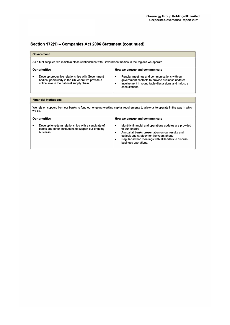| Government                                                                                                                              |                                                                                                                                                                                                                                                                          |  |  |  |
|-----------------------------------------------------------------------------------------------------------------------------------------|--------------------------------------------------------------------------------------------------------------------------------------------------------------------------------------------------------------------------------------------------------------------------|--|--|--|
| As a fuel supplier, we maintain close relationships with Government bodies in the regions we operate.                                   |                                                                                                                                                                                                                                                                          |  |  |  |
| <b>Our priorities</b><br>Develop productive relationships with Government<br>٠                                                          | How we engage and communicate<br>Regular meetings and communications with our<br>٠                                                                                                                                                                                       |  |  |  |
| bodies, particularly in the UK where we provide a<br>critical role in the national supply chain.                                        | government contacts to provide business updates<br>Involvement in round table discussions and industry<br>$\bullet$<br>consultations.                                                                                                                                    |  |  |  |
|                                                                                                                                         |                                                                                                                                                                                                                                                                          |  |  |  |
| <b>Financial institutions</b>                                                                                                           |                                                                                                                                                                                                                                                                          |  |  |  |
| We rely on support from our banks to fund our ongoing working capital requirements to allow us to operate in the way in which<br>we do. |                                                                                                                                                                                                                                                                          |  |  |  |
| <b>Our priorities</b>                                                                                                                   | How we engage and communicate                                                                                                                                                                                                                                            |  |  |  |
| Develop long-term relationships with a syndicate of<br>٠<br>banks and other institutions to support our ongoing<br>business.            | Monthly financial and operations updates are provided<br>$\bullet$<br>to our lenders<br>Annual all banks presentation on our results and<br>٠<br>outlook and strategy for the years ahead<br>Regular ad hoc meetings with all lenders to discuss<br>business operations. |  |  |  |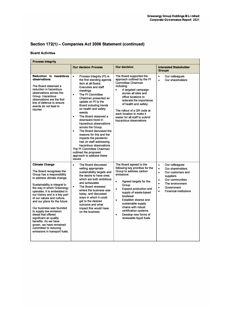### **Board Activities**

| <b>Process Integrity</b>                                                                                                                                                                                                                                                                                                                                                                                                                                                                                                         |                                                                                                                                                                                                                                                                                                                                                                                                                                                                                                                                                                                                                                         |                                                                                                                                                                                                                                                                                                                                                                                                            |                                                                                                                                                                                                                                                      |
|----------------------------------------------------------------------------------------------------------------------------------------------------------------------------------------------------------------------------------------------------------------------------------------------------------------------------------------------------------------------------------------------------------------------------------------------------------------------------------------------------------------------------------|-----------------------------------------------------------------------------------------------------------------------------------------------------------------------------------------------------------------------------------------------------------------------------------------------------------------------------------------------------------------------------------------------------------------------------------------------------------------------------------------------------------------------------------------------------------------------------------------------------------------------------------------|------------------------------------------------------------------------------------------------------------------------------------------------------------------------------------------------------------------------------------------------------------------------------------------------------------------------------------------------------------------------------------------------------------|------------------------------------------------------------------------------------------------------------------------------------------------------------------------------------------------------------------------------------------------------|
|                                                                                                                                                                                                                                                                                                                                                                                                                                                                                                                                  | <b>Our decision Process</b>                                                                                                                                                                                                                                                                                                                                                                                                                                                                                                                                                                                                             | <b>Our decision</b>                                                                                                                                                                                                                                                                                                                                                                                        | <b>Interested Stakeholder</b><br><b>Groups</b>                                                                                                                                                                                                       |
| Reduction in hazardous<br>observations<br>The Board observed a<br>reduction in hazardous<br>observations across the<br>Group, Hazardous<br>observations are the first<br>line of defence to ensure<br>events do not lead to<br>injuries                                                                                                                                                                                                                                                                                          | $\bullet$<br>Process Integrity (PI) is<br>the first standing agenda<br>item at all Board.<br><b>Executive and staff</b><br>meetings<br>The PI Committee<br>$\bullet$<br>Chairman presented an<br>update on PI to the<br>Board including trends<br>on health and safety<br>events<br>The Board observed a<br>$\bullet$<br>downward trend in<br>hazardous observations<br>across the Group.<br>The Board discussed the<br>$\bullet$<br>reasons for this and the<br>impacts the pandemic<br>had on staff addressing<br>hazardous observations<br>The PI Committee Chairman<br>outlined the proposed<br>approach to address these<br>issues | The Board supported the<br>approach outlined by the PI<br>Committee Chairman<br>including:<br>A targeted campaign<br>$\bullet$<br>across all sites and<br>office locations to<br>reiterate the importance<br>of health and safety;<br>The rollout of a QR code at<br>each location to make it<br>easier for all staff to submit<br>hazardous observations                                                  | $\bullet$<br>Our colleagues<br>Our shareholders<br>$\bullet$                                                                                                                                                                                         |
| <b>Climate Change</b><br>The Board recognises the<br>Group has a responsibility<br>to address climate change.<br>Sustainability is integral to<br>the way in which Greenergy<br>operates. It is embedded in<br>our history and is a key part<br>of our values and culture,<br>and our plans for the future.<br>Our business was founded<br>to supply low emission<br>diesel that offered<br>significant air quality<br>benefits. As we have<br>grown, we have remained<br>committed to reducing<br>emissions in transport fuels. | The Board discussed<br>$\bullet$<br>setting appropriate<br>sustainability targets and<br>the desire to have ones<br>which are both ambitious<br>and achievable<br>The Board reviewed<br>$\bullet$<br>where the business was<br>today, and discussed<br>ways in which it could<br>get to the desired<br>outcome and what<br>impact this would have<br>on the business                                                                                                                                                                                                                                                                    | The Board agreed to the<br>following key priorities for the<br>Group to address carbon<br>emissions:<br>Agreed targets for the<br>$\bullet$<br>Group<br>Expand production and<br>$\bullet$<br>supply of waste-based<br>biodiesel<br>Establish diverse and<br>$\bullet$<br>sustainable supply<br>chains with robust<br>certification systems<br>Develop new forms of<br>$\bullet$<br>renewable liquid fuels | Our colleagues<br>$\bullet$<br>Our shareholders<br>$\bullet$<br>$\bullet$<br>Our customers and<br>suppliers<br>Our communities<br>$\bullet$<br>The environment<br>$\bullet$<br>Government<br>$\bullet$<br><b>Financial institutions</b><br>$\bullet$ |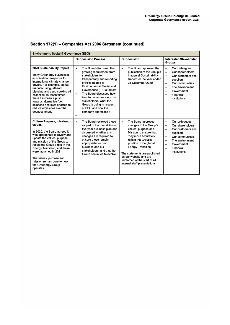| <b>Environment, Social &amp; Governance (ESG)</b>                                                                                                                                                                                                                                                                                                                                      |                                                                                                                                                                                                                                                                                                                                                                                   |                                                                                                                                                                                                                                                                                                                                             |                                                                                                                                                                                                                                                  |
|----------------------------------------------------------------------------------------------------------------------------------------------------------------------------------------------------------------------------------------------------------------------------------------------------------------------------------------------------------------------------------------|-----------------------------------------------------------------------------------------------------------------------------------------------------------------------------------------------------------------------------------------------------------------------------------------------------------------------------------------------------------------------------------|---------------------------------------------------------------------------------------------------------------------------------------------------------------------------------------------------------------------------------------------------------------------------------------------------------------------------------------------|--------------------------------------------------------------------------------------------------------------------------------------------------------------------------------------------------------------------------------------------------|
|                                                                                                                                                                                                                                                                                                                                                                                        | <b>Our decision Process</b>                                                                                                                                                                                                                                                                                                                                                       | <b>Our decision</b>                                                                                                                                                                                                                                                                                                                         | <b>Interested Stakeholder</b><br><b>Groups</b>                                                                                                                                                                                                   |
| 2020 Sustainability Report<br>Many Greenergy businesses<br>exist in direct response to<br>international climate change<br>drivers. For example, biofuel<br>manufacturing, ethanol<br>blending and used cooking oil<br>collection. In recent times<br>there has been a push<br>towards alternative fuel<br>solutions and laws enacted to<br>reduce emissions over the<br>decades ahead. | The Board discussed the<br>$\bullet$<br>growing requirement from<br>stakeholders for<br>transparency and reporting<br>of KPIs related to<br>Environmental, Social and<br>Governance (ESG) factors<br>The Board discussed how<br>$\bullet$<br>best to communicate to its<br>stakeholders, what the<br>Group is doing in respect<br>of ESG and how the<br>company addresses it<br>٠ | The Board approved the<br>$\bullet$<br>publication of the Group's<br>inaugural Sustainability<br>Report for the year ended<br>31 December 2020                                                                                                                                                                                              | Our colleagues<br>$\bullet$<br>Our shareholders<br>$\bullet$<br>Our customers and<br>$\bullet$<br>suppliers<br>Our communities<br>$\bullet$<br>The environment<br>$\bullet$<br>Government<br>$\bullet$<br>Financial<br>$\bullet$<br>institutions |
| <b>Culture Purpose, mission,</b><br>values<br>In 2020, the Board agreed it<br>was appropriate to review and<br>update the values, purpose<br>and mission of the Group to<br>reflect the Group's role in the<br><b>Energy Transition, and these</b><br>were launched in 2021.<br>The values, purpose and<br>mission remain core to how<br>the Greenergy Group<br>operates.              | The Board reviewed these<br>$\bullet$<br>as part of the overall Group<br>five year business plan and<br>discussed whether any<br>changes are required to<br>ensure these remain<br>appropriate for our<br>business and our<br>stakeholders, and that the<br>Group continues to evolve.                                                                                            | The Board approved<br>$\bullet$<br>changes to the Group's<br>values, purpose and<br>Mission to ensure that<br>they more accurately<br>reflect the Group's<br>position in the global<br><b>Energy Transition</b><br>The statements are published<br>on our website and are<br>reinforced at the start of all<br>internal staff presentations | Our colleagues<br>$\bullet$<br>Our shareholders<br>$\bullet$<br>Our customers and<br>$\bullet$<br>suppliers<br>Our communities<br>$\bullet$<br>The environment<br>٠<br>Government<br>$\bullet$<br>Financial<br>$\bullet$<br>institutions         |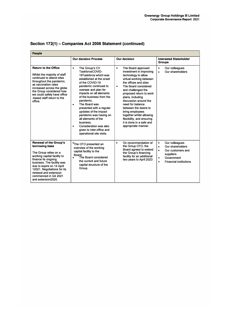| <b>People</b>                                                                                                                                                                                                                                                                                   |                                                                                                                                                                                                                                                                                                                                                                                                                                                                                              |                                                                                                                                                                                                                                                                                                                                                                                                                                                      |                                                                                                                                                                                      |  |
|-------------------------------------------------------------------------------------------------------------------------------------------------------------------------------------------------------------------------------------------------------------------------------------------------|----------------------------------------------------------------------------------------------------------------------------------------------------------------------------------------------------------------------------------------------------------------------------------------------------------------------------------------------------------------------------------------------------------------------------------------------------------------------------------------------|------------------------------------------------------------------------------------------------------------------------------------------------------------------------------------------------------------------------------------------------------------------------------------------------------------------------------------------------------------------------------------------------------------------------------------------------------|--------------------------------------------------------------------------------------------------------------------------------------------------------------------------------------|--|
|                                                                                                                                                                                                                                                                                                 | <b>Our decision Process</b>                                                                                                                                                                                                                                                                                                                                                                                                                                                                  | <b>Our decision</b>                                                                                                                                                                                                                                                                                                                                                                                                                                  | <b>Interested Stakeholder</b><br><b>Groups</b>                                                                                                                                       |  |
| <b>Return to the Office</b><br>Whilst the majority of staff<br>continued to attend sites<br>throughout the pandemic.<br>as vaccination rates<br>increased across the globe<br>the Group considered how<br>we could safely have office<br>-based staff return to the<br>office.                  | The Group's CV<br>$\bullet$<br>TaskforceCOVID-<br>19Taskforce which was<br>established at the onset<br>of the COVID-19<br>pandemic continued to<br>oversee and plan for<br>impacts on all elements<br>of the business from the<br>pandemic.<br>The Board was<br>$\bullet$<br>presented with a regular<br>updates of the impact<br>pandemic was having on<br>all elements of the<br>business.<br>Consideration was also<br>$\bullet$<br>given to inter-office and<br>operational site visits. | The Board approved<br>$\bullet$<br>investment in improving<br>technology to allow<br>virtual working between<br>the offices and sites<br>The Board considered<br>$\bullet$<br>and challenged the<br>proposed return to work<br>plans, including<br>discussion around the<br>need for balance<br>between the desire to<br>bring employees<br>together whilst allowing<br>flexibility, and ensuring<br>it is done in a safe and<br>appropriate manner. | Our colleagues<br>$\bullet$<br>Our shareholders<br>$\bullet$                                                                                                                         |  |
| <b>Renewal of the Group's</b><br>borrowing base<br>The Group relies on a<br>working capital facility to<br>finance its ongoing<br>business. The facility was<br>due to expire on 14 April<br>12021. Negotiations for its<br>renewal and extension<br>commenced in Q4 2021<br>and extension2020. | <b>The CFO presented an</b><br>overview of the working<br>capital facility to the<br>Board.<br>The Board considered<br>$\bullet$<br>the current and future<br>capital structure of the<br>Group.                                                                                                                                                                                                                                                                                             | On recommendation of<br>$\bullet$<br>the Group CFO, the<br>Board agreed to extend<br>the Group's financing<br>facility for an additional<br>two years to April 2023                                                                                                                                                                                                                                                                                  | Our colleagues<br>$\bullet$<br>Our shareholders<br>$\bullet$<br>Our customers and<br>$\bullet$<br>suppliers<br>Government<br>$\bullet$<br><b>Financial institutions</b><br>$\bullet$ |  |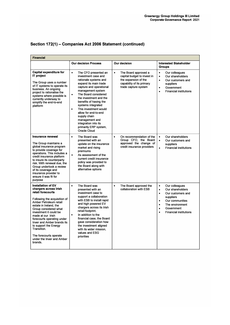| <b>Financial</b>                                                                                                                                                                                                                                                                                                                                                                                          |                                                                                                                                                                                                                                                                                                                                                                                                                                            |                                                                                                                                               |                                                                                                                                                                                                                                                      |
|-----------------------------------------------------------------------------------------------------------------------------------------------------------------------------------------------------------------------------------------------------------------------------------------------------------------------------------------------------------------------------------------------------------|--------------------------------------------------------------------------------------------------------------------------------------------------------------------------------------------------------------------------------------------------------------------------------------------------------------------------------------------------------------------------------------------------------------------------------------------|-----------------------------------------------------------------------------------------------------------------------------------------------|------------------------------------------------------------------------------------------------------------------------------------------------------------------------------------------------------------------------------------------------------|
|                                                                                                                                                                                                                                                                                                                                                                                                           | <b>Our decision Process</b>                                                                                                                                                                                                                                                                                                                                                                                                                | <b>Our decision</b>                                                                                                                           | <b>Interested Stakeholder</b><br><b>Groups</b>                                                                                                                                                                                                       |
| <b>Capital expenditure for</b><br><b>IT</b> project<br>The Group uses a number<br>of IT systems to operate its<br>business. An ongoing<br>project to rationalise the<br>systems where possible is<br>currently underway to<br>simplify the end-to-end<br>platform                                                                                                                                         | $\bullet$<br>The CFO presented an<br>investment case and<br>rationale systems and<br>expand its main trade<br>capture and operational<br>management system<br>The Board considered<br>$\bullet$<br>the investment and the<br>benefits of having the<br>systems integrated<br>This investment would<br>$\bullet$<br>allow for end-to-end<br>supply chain<br>management and<br>integration into its<br>primarily ERP system,<br>Oracle Cloud | The Board approved a<br>$\bullet$<br>capital budget to invest in<br>the expansion of the<br>capability of its primary<br>trade capture system | Our colleagues<br>$\bullet$<br>Our shareholders<br>$\bullet$<br>Our customers and<br>$\bullet$<br>suppliers<br>Government<br>$\bullet$<br><b>Financial institutions</b><br>$\bullet$                                                                 |
| <b>Insurance renewal</b><br>The Group maintains a<br>global insurance program<br>to provide coverage for<br>operations. This includes a<br>credit insurance platform<br>to insure its counterparty<br>risk. With renewal due, the<br>Group undertook a review<br>of its coverage and<br>insurance provider to<br>ensure it was fit for<br>purpose                                                         | The Board was<br>$\bullet$<br>presented with an<br>update on the insurance<br>market and rising<br>premiums<br>As assessment of the<br>$\bullet$<br>current credit insurance<br>policy was provided to<br>the Board along with<br>alternative options                                                                                                                                                                                      | On recommendation of the<br>$\bullet$<br>Group CFO, the Board<br>approved the change of<br>credit insurance providers                         | $\bullet$<br>Our shareholders<br>$\bullet$<br>Our customers and<br>suppliers<br><b>Financial institutions</b><br>$\bullet$                                                                                                                           |
| <b>Installation of EV</b><br>chargers across Irish<br>retail forecourts<br>Following the acquisition of<br>Amber Petroleum retail<br>estate in Ireland, the<br>Group considered what<br>investment it could be<br>made at our Irish<br>forecourts operating under<br>Inver and Amber brands its<br>to support the Energy<br>Transition.<br>The forecourts operate<br>under the Inver and Amber<br>brands. | $\bullet$<br>The Board was<br>presented with an<br>investment case to<br>support a collaboration<br>with ESB to install rapid<br>and high powered EV<br>chargers across its Irish<br>retail footprint.<br>In addition to the<br>$\bullet$<br>financial case, the Board<br>gave consideration how<br>the investment aligned<br>with its wider mission,<br>values and ESG<br>priorities                                                      | The Board approved the<br>$\bullet$<br>collaboration with ESB                                                                                 | Our colleagues<br>$\bullet$<br>Our shareholders<br>$\bullet$<br>Our customers and<br>$\bullet$<br>suppliers<br>Our communities<br>$\bullet$<br>The environment<br>$\bullet$<br>Government<br>$\bullet$<br><b>Financial institutions</b><br>$\bullet$ |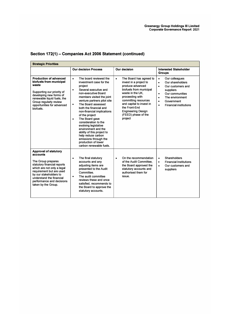| <b>Strategic Priorities</b>                                                                                                                                                                                                                                       |                                                                                                                                                                                                                                                                                                                                                                                                                                                                                                                                                      |                                                                                                                                                                                                                                                                                          |                                                                                                                                                                                                                                                      |  |
|-------------------------------------------------------------------------------------------------------------------------------------------------------------------------------------------------------------------------------------------------------------------|------------------------------------------------------------------------------------------------------------------------------------------------------------------------------------------------------------------------------------------------------------------------------------------------------------------------------------------------------------------------------------------------------------------------------------------------------------------------------------------------------------------------------------------------------|------------------------------------------------------------------------------------------------------------------------------------------------------------------------------------------------------------------------------------------------------------------------------------------|------------------------------------------------------------------------------------------------------------------------------------------------------------------------------------------------------------------------------------------------------|--|
|                                                                                                                                                                                                                                                                   | <b>Our decision Process</b>                                                                                                                                                                                                                                                                                                                                                                                                                                                                                                                          | Our decision                                                                                                                                                                                                                                                                             | <b>Interested Stakeholder</b><br><b>Groups</b>                                                                                                                                                                                                       |  |
| <b>Production of advanced</b><br>biofuels from municipal<br>waste<br>Supporting our priority of<br>developing new forms of<br>renewable liquid fuels, the<br>Group regularly review<br>opportunities for advanced<br>biofuels.                                    | The board reviewed the<br>$\bullet$<br>investment case for the<br>project<br>Several executive and<br>$\bullet$<br>non-executive Board<br>members visited the joint<br>venture partners pilot site<br>The Board assessed<br>$\bullet$<br>both the financial and<br>non-financial implications<br>of the project<br>The Board gave<br>$\bullet$<br>consideration to the<br>evolving legislative<br>environment and the<br>ability of this project to<br>help reduce carbon<br>emissions through the<br>production of lower<br>carbon renewable fuels. | The Board has agreed to<br>$\bullet$<br>invest in a project to<br>produce advanced<br>biofuels from municipal<br>waste in the UK.<br>proceeding with<br>committing resources<br>and capital to invest in<br>the Front-End<br><b>Engineering Design</b><br>(FEED) phase of the<br>project | Our colleagues<br>$\bullet$<br>Our shareholders<br>$\bullet$<br>Our customers and<br>$\bullet$<br>suppliers<br>Our communities<br>$\bullet$<br>The environment<br>$\bullet$<br>Government<br>$\bullet$<br><b>Financial institutions</b><br>$\bullet$ |  |
| <b>Approval of statutory</b><br>accounts<br>The Group prepares<br>statutory financial reports<br>which are not only a legal<br>requirement but are used<br>by our stakeholders to<br>understand the financial<br>performance and decisions<br>taken by the Group. | The final statutory<br>$\bullet$<br>accounts and any<br>adjusting items are<br>presented to the Audit<br>Committee.<br>The audit committee<br>$\bullet$<br>reviews these and once<br>satisfied, recommends to<br>the Board to approve the<br>statutory accounts.                                                                                                                                                                                                                                                                                     | On the recommendation<br>$\bullet$<br>of the Audit Committee,<br>the Board approved the<br>statutory accounts and<br>authorised them for<br>issue.                                                                                                                                       | Shareholders<br>$\bullet$<br><b>Financial Institutions</b><br>$\bullet$<br>Our customers and<br>$\bullet$<br>suppliers                                                                                                                               |  |